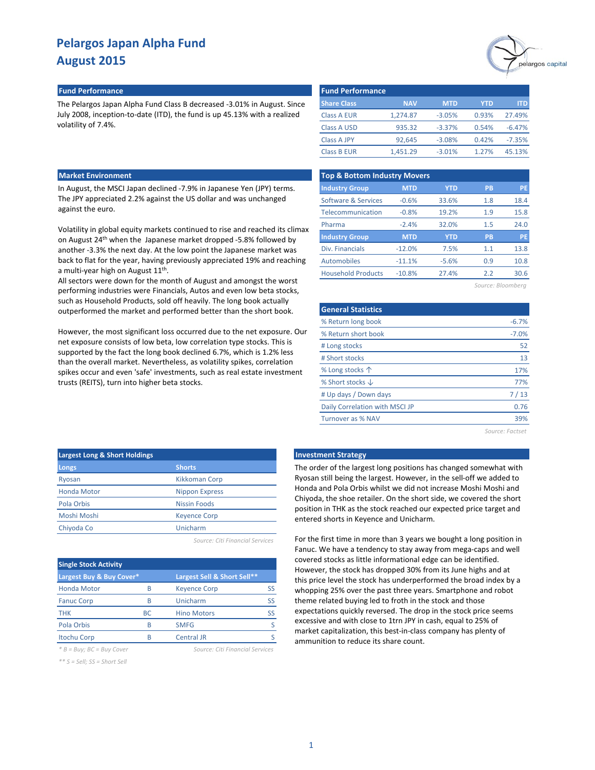

#### **Fund Performance Fund Performance**

The Pelargos Japan Alpha Fund Class B decreased -3.01% in August. Since July 2008, inception-to-date (ITD), the fund is up 45.13% with a realized volatility of 7.4%.

### **Market Environment**

In August, the MSCI Japan declined -7.9% in Japanese Yen (JPY) terms. The JPY appreciated 2.2% against the US dollar and was unchanged against the euro.

Volatility in global equity markets continued to rise and reached its climax on August 24th when the Japanese market dropped -5.8% followed by another -3.3% the next day. At the low point the Japanese market was back to flat for the year, having previously appreciated 19% and reaching a multi-year high on August 11<sup>th</sup>.

All sectors were down for the month of August and amongst the worst performing industries were Financials, Autos and even low beta stocks, such as Household Products, sold off heavily. The long book actually outperformed the market and performed better than the short book.

However, the most significant loss occurred due to the net exposure. Our net exposure consists of low beta, low correlation type stocks. This is supported by the fact the long book declined 6.7%, which is 1.2% less than the overall market. Nevertheless, as volatility spikes, correlation spikes occur and even 'safe' investments, such as real estate investment trusts (REITS), turn into higher beta stocks.

| <b>Fund Performance</b> |            |            |       |          |
|-------------------------|------------|------------|-------|----------|
| <b>Share Class</b>      | <b>NAV</b> | <b>MTD</b> | YTD   | ITD      |
| <b>Class A EUR</b>      | 1.274.87   | $-3.05%$   | 0.93% | 27.49%   |
| <b>Class A USD</b>      | 935.32     | $-3.37%$   | 0.54% | $-6.47%$ |
| Class A JPY             | 92.645     | $-3.08%$   | 0.42% | $-7.35%$ |
| <b>Class B EUR</b>      | 1.451.29   | $-3.01%$   | 1.27% | 45.13%   |

| <b>Top &amp; Bottom Industry Movers</b> |            |            |           |           |  |  |  |  |
|-----------------------------------------|------------|------------|-----------|-----------|--|--|--|--|
| <b>Industry Group</b>                   | <b>MTD</b> | <b>YTD</b> | <b>PB</b> | <b>PE</b> |  |  |  |  |
| Software & Services                     | $-0.6%$    | 33.6%      | 1.8       | 18.4      |  |  |  |  |
| Telecommunication                       | $-0.8%$    | 19.2%      | 1.9       | 15.8      |  |  |  |  |
| Pharma                                  | $-2.4%$    | 32.0%      | 1.5       | 24.0      |  |  |  |  |
| <b>Industry Group</b>                   | <b>MTD</b> | <b>YTD</b> | <b>PB</b> | <b>PE</b> |  |  |  |  |
| Div. Financials                         | $-12.0%$   | 7.5%       | 1.1       | 13.8      |  |  |  |  |
| Automobiles                             | $-11.1%$   | $-5.6%$    | 0.9       | 10.8      |  |  |  |  |
| <b>Household Products</b>               | $-10.8%$   | 27.4%      | 2.2       | 30.6      |  |  |  |  |
|                                         |            |            |           |           |  |  |  |  |

*Source: Bloomberg*

| <b>General Statistics</b>      |         |
|--------------------------------|---------|
| % Return long book             | $-6.7%$ |
| % Return short book            | $-7.0%$ |
| # Long stocks                  | 52      |
| # Short stocks                 | 13      |
| % Long stocks $\uparrow$       | 17%     |
| % Short stocks $\downarrow$    | 77%     |
| # Up days / Down days          | 7/13    |
| Daily Correlation with MSCI JP | 0.76    |
| <b>Turnover as % NAV</b>       | 39%     |
|                                |         |

*Source: Factset*

| <b>Largest Long &amp; Short Holdings</b> |                       |
|------------------------------------------|-----------------------|
| Longs                                    | <b>Shorts</b>         |
| Ryosan                                   | Kikkoman Corp         |
| <b>Honda Motor</b>                       | <b>Nippon Express</b> |
| Pola Orbis                               | <b>Nissin Foods</b>   |
| Moshi Moshi                              | <b>Keyence Corp</b>   |
| Chiyoda Co                               | Unicharm              |
|                                          |                       |

*Source: Citi Financial Services*

| <b>Single Stock Activity</b>   |           |                                 |           |
|--------------------------------|-----------|---------------------------------|-----------|
| Largest Buy & Buy Cover*       |           | Largest Sell & Short Sell**     |           |
| <b>Honda Motor</b>             | R         | <b>Keyence Corp</b>             | SS        |
| <b>Fanuc Corp</b>              | R         | Unicharm                        | <b>SS</b> |
| <b>THK</b>                     | <b>BC</b> | <b>Hino Motors</b>              | SS        |
| Pola Orbis                     | R         | <b>SMFG</b>                     |           |
| <b>Itochu Corp</b>             | R         | <b>Central JR</b>               |           |
| $* B = Buv$ : $BC = Buv$ Cover |           | Source: Citi Financial Services |           |

*\*\* S = Sell; SS = Short Sell*

#### **Late Investment Strategy**

The order of the largest long positions has changed somewhat with Ryosan still being the largest. However, in the sell-off we added to Honda and Pola Orbis whilst we did not increase Moshi Moshi and Chiyoda, the shoe retailer. On the short side, we covered the short position in THK as the stock reached our expected price target and entered shorts in Keyence and Unicharm.

For the first time in more than 3 years we bought a long position in Fanuc. We have a tendency to stay away from mega-caps and well covered stocks as little informational edge can be identified. However, the stock has dropped 30% from its June highs and at this price level the stock has underperformed the broad index by a whopping 25% over the past three years. Smartphone and robot theme related buying led to froth in the stock and those expectations quickly reversed. The drop in the stock price seems excessive and with close to 1trn JPY in cash, equal to 25% of market capitalization, this best-in-class company has plenty of ammunition to reduce its share count.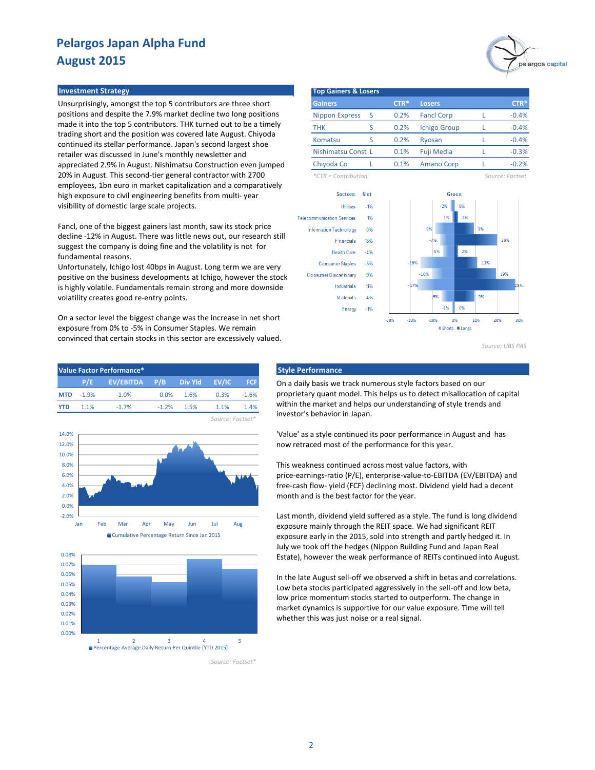Unsurprisingly, amongst the top 5 contributors are three short positions and despite the 7.9% market decline two long positions made it into the top 5 contributors. THK turned out to be a timely trading short and the position was covered late August. Chiyoda continued its stellar performance. Japan's second largest shoe retailer was discussed in June's monthly newsletter and appreciated 2.9% in August. Nishimatsu Construction even jumped 20% in August. This second-tier general contractor with 2700 employees, 1bn euro in market capitalization and a comparatively high exposure to civil engineering benefits from multi- year visibility of domestic large scale projects.

Fancl, one of the biggest gainers last month, saw its stock price decline -12% in August. There was little news out, our research still suggest the company is doing fine and the volatility is not for fundamental reasons.

Unfortunately, Ichigo lost 40bps in August. Long term we are very positive on the business developments at Ichigo, however the stock is highly volatile. Fundamentals remain strong and more downside volatility creates good re-entry points.

On a sector level the biggest change was the increase in net short exposure from 0% to -5% in Consumer Staples. We remain convinced that certain stocks in this sector are excessively valued.

| Value Factor Performance* |          |                             |          |      |      |         |  |  |
|---------------------------|----------|-----------------------------|----------|------|------|---------|--|--|
|                           | P/E      | EV/EBITDA P/B Div Yld EV/IC |          |      |      | FCF.    |  |  |
| <b>MTD</b>                | $-1.9\%$ | $-1.0\%$                    | $0.0\%$  | 1.6% | 0.3% | $-1.6%$ |  |  |
| <b>YTD</b>                | 1 1%     | $-1.7%$                     | $-1.2\%$ | 1.5% | 1.1% | 1.4%    |  |  |
|                           |          |                             |          |      |      |         |  |  |





*Source: Factset\**



*Source: UBS PAS*

### **Style Performance**

On a daily basis we track numerous style factors based on our proprietary quant model. This helps us to detect misallocation of capital within the market and helps our understanding of style trends and investor's behavior in Japan.

'Value' as a style continued its poor performance in August and has now retraced most of the performance for this year.

This weakness continued across most value factors, with price-earnings-ratio (P/E), enterprise-value-to-EBITDA (EV/EBITDA) and free-cash flow- yield (FCF) declining most. Dividend yield had a decent month and is the best factor for the year.

Last month, dividend yield suffered as a style. The fund is long dividend exposure mainly through the REIT space. We had significant REIT exposure early in the 2015, sold into strength and partly hedged it. In July we took off the hedges (Nippon Building Fund and Japan Real Estate), however the weak performance of REITs continued into August.

In the late August sell-off we observed a shift in betas and correlations. Low beta stocks participated aggressively in the sell-off and low beta, low price momentum stocks started to outperform. The change in market dynamics is supportive for our value exposure. Time will tell whether this was just noise or a real signal.

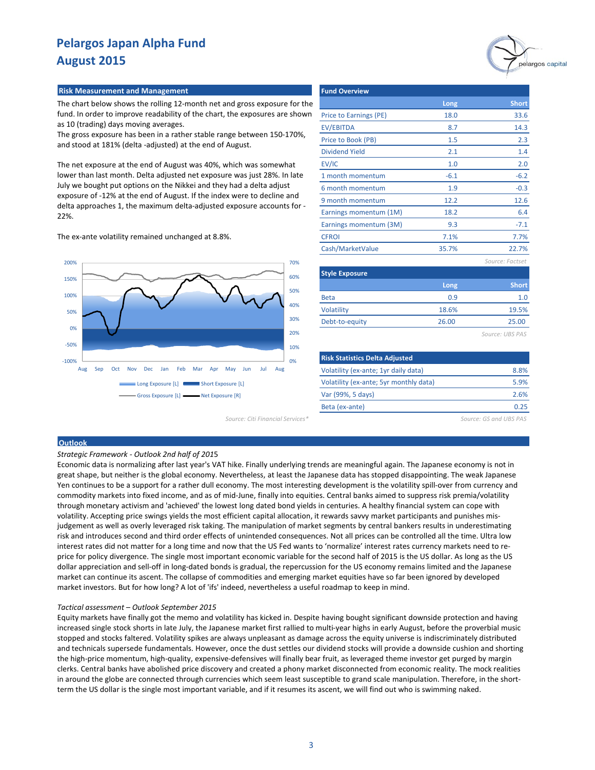# pelargos capital

#### **Risk Measurement and Management**

The chart below shows the rolling 12-month net and gross exposure for the fund. In order to improve readability of the chart, the exposures are shown as 10 (trading) days moving averages.

The gross exposure has been in a rather stable range between 150-170%, and stood at 181% (delta -adjusted) at the end of August.

The net exposure at the end of August was 40%, which was somewhat lower than last month. Delta adjusted net exposure was just 28%. In late July we bought put options on the Nikkei and they had a delta adjust exposure of -12% at the end of August. If the index were to decline and delta approaches 1, the maximum delta-adjusted exposure accounts for - 22%.

The ex-ante volatility remained unchanged at 8.8%.



*Source: Citi Financial Services\* Source: GS and UBS PAS*

| Long   | <b>Short</b>    |
|--------|-----------------|
| 18.0   | 33.6            |
| 8.7    | 14.3            |
| 1.5    | 2.3             |
| 2.1    | 1.4             |
| 1.0    | 2.0             |
| $-6.1$ | $-6.2$          |
| 1.9    | $-0.3$          |
| 12.2   | 12.6            |
| 18.2   | 6.4             |
| 9.3    | $-7.1$          |
| 7.1%   | 7.7%            |
| 35.7%  | 22.7%           |
|        | Source: Factset |
|        |                 |

| <b>Style Exposure</b> |       |              |
|-----------------------|-------|--------------|
|                       | Long  | <b>Short</b> |
| <b>Beta</b>           | 0.9   | 1.0          |
| Volatility            | 18.6% | 19.5%        |
| Debt-to-equity        | 26.00 | 25.00        |
|                       |       |              |

*Source: UBS PAS*

| <b>Risk Statistics Delta Adjusted</b>  |      |
|----------------------------------------|------|
| Volatility (ex-ante; 1yr daily data)   | 8.8% |
| Volatility (ex-ante; 5yr monthly data) | 5.9% |
| Var (99%, 5 days)                      | 2.6% |
| Beta (ex-ante)                         | በ 25 |

#### **Outlook**

#### *Strategic Framework - Outlook 2nd half of 201*5

Economic data is normalizing after last year's VAT hike. Finally underlying trends are meaningful again. The Japanese economy is not in great shape, but neither is the global economy. Nevertheless, at least the Japanese data has stopped disappointing. The weak Japanese Yen continues to be a support for a rather dull economy. The most interesting development is the volatility spill-over from currency and commodity markets into fixed income, and as of mid-June, finally into equities. Central banks aimed to suppress risk premia/volatility through monetary activism and 'achieved' the lowest long dated bond yields in centuries. A healthy financial system can cope with volatility. Accepting price swings yields the most efficient capital allocation, it rewards savvy market participants and punishes misjudgement as well as overly leveraged risk taking. The manipulation of market segments by central bankers results in underestimating risk and introduces second and third order effects of unintended consequences. Not all prices can be controlled all the time. Ultra low interest rates did not matter for a long time and now that the US Fed wants to 'normalize' interest rates currency markets need to reprice for policy divergence. The single most important economic variable for the second half of 2015 is the US dollar. As long as the US dollar appreciation and sell-off in long-dated bonds is gradual, the repercussion for the US economy remains limited and the Japanese market can continue its ascent. The collapse of commodities and emerging market equities have so far been ignored by developed market investors. But for how long? A lot of 'ifs' indeed, nevertheless a useful roadmap to keep in mind.

#### *Tactical assessment – Outlook September 2015*

Equity markets have finally got the memo and volatility has kicked in. Despite having bought significant downside protection and having increased single stock shorts in late July, the Japanese market first rallied to multi-year highs in early August, before the proverbial music stopped and stocks faltered. Volatility spikes are always unpleasant as damage across the equity universe is indiscriminately distributed and technicals supersede fundamentals. However, once the dust settles our dividend stocks will provide a downside cushion and shorting the high-price momentum, high-quality, expensive-defensives will finally bear fruit, as leveraged theme investor get purged by margin clerks. Central banks have abolished price discovery and created a phony market disconnected from economic reality. The mock realities in around the globe are connected through currencies which seem least susceptible to grand scale manipulation. Therefore, in the shortterm the US dollar is the single most important variable, and if it resumes its ascent, we will find out who is swimming naked.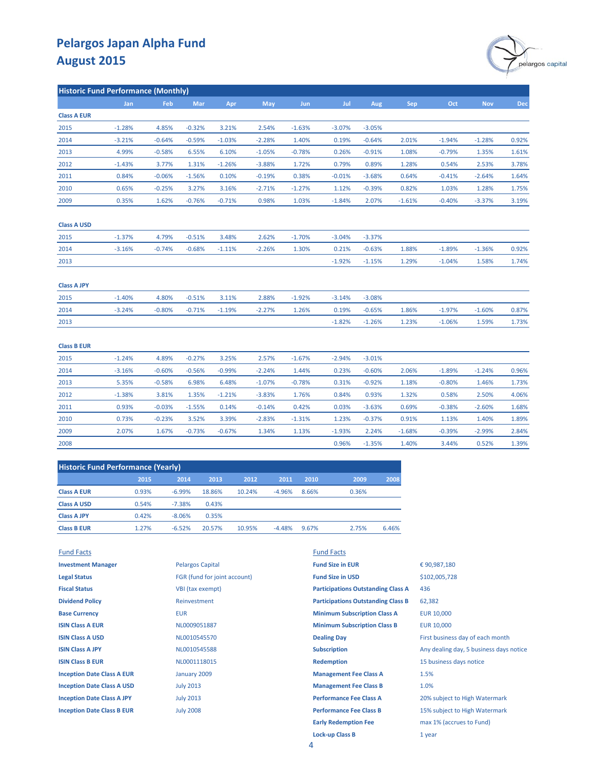

| <b>Historic Fund Performance (Monthly)</b> |          |            |          |          |            |          |          |          |            |          |            |       |
|--------------------------------------------|----------|------------|----------|----------|------------|----------|----------|----------|------------|----------|------------|-------|
|                                            | Jan      | <b>Feb</b> | Mar      | Apr      | <b>May</b> | Jun      | Jul      | Aug      | <b>Sep</b> | Oct      | <b>Nov</b> | Dec   |
| <b>Class A EUR</b>                         |          |            |          |          |            |          |          |          |            |          |            |       |
| 2015                                       | $-1.28%$ | 4.85%      | $-0.32%$ | 3.21%    | 2.54%      | $-1.63%$ | $-3.07%$ | $-3.05%$ |            |          |            |       |
| 2014                                       | $-3.21%$ | $-0.64%$   | $-0.59%$ | $-1.03%$ | $-2.28%$   | 1.40%    | 0.19%    | $-0.64%$ | 2.01%      | $-1.94%$ | $-1.28%$   | 0.92% |
| 2013                                       | 4.99%    | $-0.58%$   | 6.55%    | 6.10%    | $-1.05%$   | $-0.78%$ | 0.26%    | $-0.91%$ | 1.08%      | $-0.79%$ | 1.35%      | 1.61% |
| 2012                                       | $-1.43%$ | 3.77%      | 1.31%    | $-1.26%$ | $-3.88%$   | 1.72%    | 0.79%    | 0.89%    | 1.28%      | 0.54%    | 2.53%      | 3.78% |
| 2011                                       | 0.84%    | $-0.06%$   | $-1.56%$ | 0.10%    | $-0.19%$   | 0.38%    | $-0.01%$ | $-3.68%$ | 0.64%      | $-0.41%$ | $-2.64%$   | 1.64% |
| 2010                                       | 0.65%    | $-0.25%$   | 3.27%    | 3.16%    | $-2.71%$   | $-1.27%$ | 1.12%    | $-0.39%$ | 0.82%      | 1.03%    | 1.28%      | 1.75% |
| 2009                                       | 0.35%    | 1.62%      | $-0.76%$ | $-0.71%$ | 0.98%      | 1.03%    | $-1.84%$ | 2.07%    | $-1.61%$   | $-0.40%$ | $-3.37%$   | 3.19% |
| <b>Class A USD</b>                         |          |            |          |          |            |          |          |          |            |          |            |       |
| 2015                                       | $-1.37%$ | 4.79%      | $-0.51%$ | 3.48%    | 2.62%      | $-1.70%$ | $-3.04%$ | $-3.37%$ |            |          |            |       |
| 2014                                       | $-3.16%$ | $-0.74%$   | $-0.68%$ | $-1.11%$ | $-2.26%$   | 1.30%    | 0.21%    | $-0.63%$ | 1.88%      | $-1.89%$ | $-1.36%$   | 0.92% |
| 2013                                       |          |            |          |          |            |          | $-1.92%$ | $-1.15%$ | 1.29%      | $-1.04%$ | 1.58%      | 1.74% |
| <b>Class A JPY</b>                         |          |            |          |          |            |          |          |          |            |          |            |       |
| 2015                                       | $-1.40%$ | 4.80%      | $-0.51%$ | 3.11%    | 2.88%      | $-1.92%$ | $-3.14%$ | $-3.08%$ |            |          |            |       |
| 2014                                       | $-3.24%$ | $-0.80%$   | $-0.71%$ | $-1.19%$ | $-2.27%$   | 1.26%    | 0.19%    | $-0.65%$ | 1.86%      | $-1.97%$ | $-1.60%$   | 0.87% |
| 2013                                       |          |            |          |          |            |          | $-1.82%$ | $-1.26%$ | 1.23%      | $-1.06%$ | 1.59%      | 1.73% |
| <b>Class B EUR</b>                         |          |            |          |          |            |          |          |          |            |          |            |       |
| 2015                                       | $-1.24%$ | 4.89%      | $-0.27%$ | 3.25%    | 2.57%      | $-1.67%$ | $-2.94%$ | $-3.01%$ |            |          |            |       |
| 2014                                       | $-3.16%$ | $-0.60%$   | $-0.56%$ | $-0.99%$ | $-2.24%$   | 1.44%    | 0.23%    | $-0.60%$ | 2.06%      | $-1.89%$ | $-1.24%$   | 0.96% |
| 2013                                       | 5.35%    | $-0.58%$   | 6.98%    | 6.48%    | $-1.07%$   | $-0.78%$ | 0.31%    | $-0.92%$ | 1.18%      | $-0.80%$ | 1.46%      | 1.73% |
| 2012                                       | $-1.38%$ | 3.81%      | 1.35%    | $-1.21%$ | $-3.83%$   | 1.76%    | 0.84%    | 0.93%    | 1.32%      | 0.58%    | 2.50%      | 4.06% |
| 2011                                       | 0.93%    | $-0.03%$   | $-1.55%$ | 0.14%    | $-0.14%$   | 0.42%    | 0.03%    | $-3.63%$ | 0.69%      | $-0.38%$ | $-2.60%$   | 1.68% |
| 2010                                       | 0.73%    | $-0.23%$   | 3.52%    | 3.39%    | $-2.83%$   | $-1.31%$ | 1.23%    | $-0.37%$ | 0.91%      | 1.13%    | 1.40%      | 1.89% |
| 2009                                       | 2.07%    | 1.67%      | $-0.73%$ | $-0.67%$ | 1.34%      | 1.13%    | $-1.93%$ | 2.24%    | $-1.68%$   | $-0.39%$ | $-2.99%$   | 2.84% |
| 2008                                       |          |            |          |          |            |          | 0.96%    | $-1.35%$ | 1.40%      | 3.44%    | 0.52%      | 1.39% |

| <b>Historic Fund Performance (Yearly)</b> |       |          |        |        |          |       |       |       |
|-------------------------------------------|-------|----------|--------|--------|----------|-------|-------|-------|
|                                           | 2015  | 2014     | 2013   | 2012   | 2011     | 2010  | 2009  | 2008  |
| <b>Class A EUR</b>                        | 0.93% | $-6.99%$ | 18.86% | 10.24% | $-4.96%$ | 8.66% | 0.36% |       |
| <b>Class A USD</b>                        | 0.54% | $-7.38%$ | 0.43%  |        |          |       |       |       |
| <b>Class A JPY</b>                        | 0.42% | $-8.06%$ | 0.35%  |        |          |       |       |       |
| <b>Class B EUR</b>                        | 1.27% | $-6.52%$ | 20.57% | 10.95% | $-4.48%$ | 9.67% | 2.75% | 6.46% |
|                                           |       |          |        |        |          |       |       |       |

| <b>Fund Facts</b>                 |                              | <b>Fund Facts</b>                         |                                         |
|-----------------------------------|------------------------------|-------------------------------------------|-----------------------------------------|
| <b>Investment Manager</b>         | <b>Pelargos Capital</b>      | <b>Fund Size in EUR</b>                   | €90,987,180                             |
| <b>Legal Status</b>               | FGR (fund for joint account) | <b>Fund Size in USD</b>                   | \$102,005,728                           |
| <b>Fiscal Status</b>              | VBI (tax exempt)             | <b>Participations Outstanding Class A</b> | 436                                     |
| <b>Dividend Policy</b>            | Reinvestment                 | <b>Participations Outstanding Class B</b> | 62,382                                  |
| <b>Base Currency</b>              | <b>EUR</b>                   | <b>Minimum Subscription Class A</b>       | <b>EUR 10,000</b>                       |
| <b>ISIN Class A EUR</b>           | NL0009051887                 | <b>Minimum Subscription Class B</b>       | EUR 10,000                              |
| <b>ISIN Class A USD</b>           | NL0010545570                 | <b>Dealing Day</b>                        | First business day of each month        |
| <b>ISIN Class A JPY</b>           | NL0010545588                 | <b>Subscription</b>                       | Any dealing day, 5 business days notice |
| <b>ISIN Class B EUR</b>           | NL0001118015                 | <b>Redemption</b>                         | 15 business days notice                 |
| <b>Inception Date Class A EUR</b> | January 2009                 | <b>Management Fee Class A</b>             | 1.5%                                    |
| <b>Inception Date Class A USD</b> | <b>July 2013</b>             | <b>Management Fee Class B</b>             | 1.0%                                    |
| <b>Inception Date Class A JPY</b> | <b>July 2013</b>             | <b>Performance Fee Class A</b>            | 20% subject to High Watermark           |
| <b>Inception Date Class B EUR</b> | <b>July 2008</b>             | <b>Performance Fee Class B</b>            | 15% subject to High Watermark           |
|                                   |                              | <b>Early Redemption Fee</b>               | max 1% (accrues to Fund)                |
|                                   |                              | <b>Lock-up Class B</b>                    | 1 year                                  |